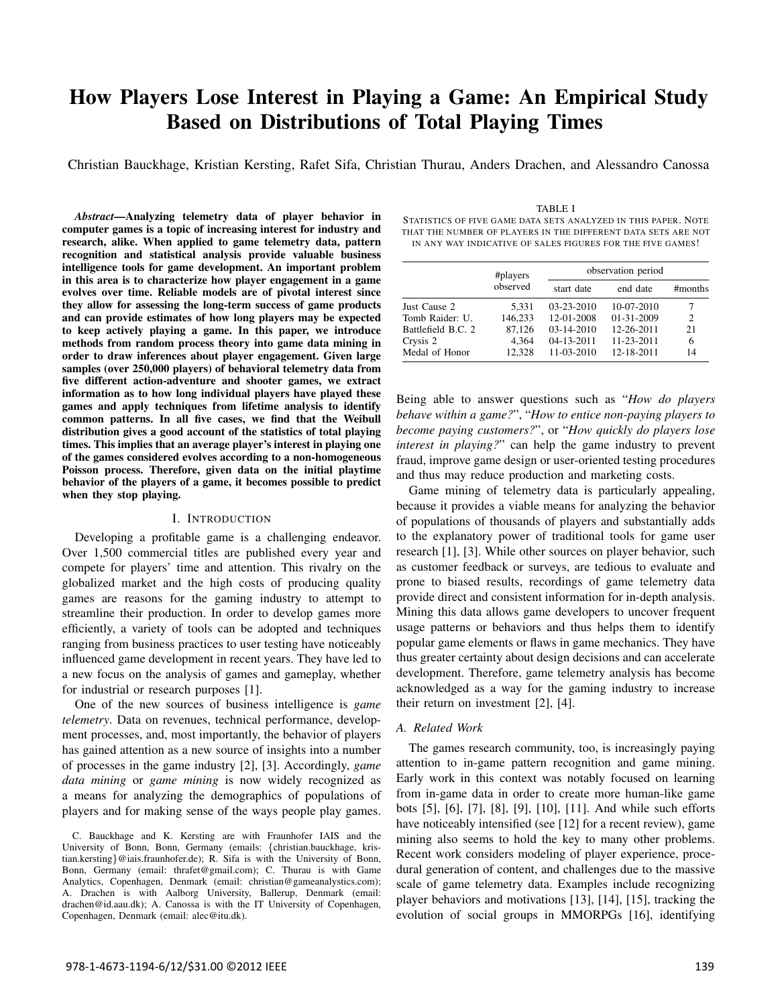# How Players Lose Interest in Playing a Game: An Empirical Study Based on Distributions of Total Playing Times

Christian Bauckhage, Kristian Kersting, Rafet Sifa, Christian Thurau, Anders Drachen, and Alessandro Canossa

*Abstract*—Analyzing telemetry data of player behavior in computer games is a topic of increasing interest for industry and research, alike. When applied to game telemetry data, pattern recognition and statistical analysis provide valuable business intelligence tools for game development. An important problem in this area is to characterize how player engagement in a game evolves over time. Reliable models are of pivotal interest since they allow for assessing the long-term success of game products and can provide estimates of how long players may be expected to keep actively playing a game. In this paper, we introduce methods from random process theory into game data mining in order to draw inferences about player engagement. Given large samples (over 250,000 players) of behavioral telemetry data from five different action-adventure and shooter games, we extract information as to how long individual players have played these games and apply techniques from lifetime analysis to identify common patterns. In all five cases, we find that the Weibull distribution gives a good account of the statistics of total playing times. This implies that an average player's interest in playing one of the games considered evolves according to a non-homogeneous Poisson process. Therefore, given data on the initial playtime behavior of the players of a game, it becomes possible to predict when they stop playing.

## I. INTRODUCTION

Developing a profitable game is a challenging endeavor. Over 1,500 commercial titles are published every year and compete for players' time and attention. This rivalry on the globalized market and the high costs of producing quality games are reasons for the gaming industry to attempt to streamline their production. In order to develop games more efficiently, a variety of tools can be adopted and techniques ranging from business practices to user testing have noticeably influenced game development in recent years. They have led to a new focus on the analysis of games and gameplay, whether for industrial or research purposes [1].

One of the new sources of business intelligence is *game telemetry*. Data on revenues, technical performance, development processes, and, most importantly, the behavior of players has gained attention as a new source of insights into a number of processes in the game industry [2], [3]. Accordingly, *game data mining* or *game mining* is now widely recognized as a means for analyzing the demographics of populations of players and for making sense of the ways people play games.

| TABLE I                                                        |  |  |  |  |  |
|----------------------------------------------------------------|--|--|--|--|--|
| STATISTICS OF FIVE GAME DATA SETS ANALYZED IN THIS PAPER. NOTE |  |  |  |  |  |
| THAT THE NUMBER OF PLAYERS IN THE DIFFERENT DATA SETS ARE NOT  |  |  |  |  |  |
| IN ANY WAY INDICATIVE OF SALES FIGURES FOR THE FIVE GAMES!     |  |  |  |  |  |

|                    | #players<br>observed | observation period |                  |            |
|--------------------|----------------------|--------------------|------------------|------------|
|                    |                      | start date         | end date         | $#$ months |
| Just Cause 2       | 5,331                | $03 - 23 - 2010$   | 10-07-2010       | 7          |
| Tomb Raider: U.    | 146.233              | 12-01-2008         | 01-31-2009       | 2          |
| Battlefield B.C. 2 | 87,126               | $03 - 14 - 2010$   | 12-26-2011       | 21         |
| Crysis 2           | 4.364                | $04 - 13 - 2011$   | $11 - 23 - 2011$ | 6          |
| Medal of Honor     | 12.328               | 11-03-2010         | 12-18-2011       | 14         |

Being able to answer questions such as "*How do players behave within a game?*", "*How to entice non-paying players to become paying customers?*", or "*How quickly do players lose interest in playing?*" can help the game industry to prevent fraud, improve game design or user-oriented testing procedures and thus may reduce production and marketing costs.

Game mining of telemetry data is particularly appealing, because it provides a viable means for analyzing the behavior of populations of thousands of players and substantially adds to the explanatory power of traditional tools for game user research [1], [3]. While other sources on player behavior, such as customer feedback or surveys, are tedious to evaluate and prone to biased results, recordings of game telemetry data provide direct and consistent information for in-depth analysis. Mining this data allows game developers to uncover frequent usage patterns or behaviors and thus helps them to identify popular game elements or flaws in game mechanics. They have thus greater certainty about design decisions and can accelerate development. Therefore, game telemetry analysis has become acknowledged as a way for the gaming industry to increase their return on investment [2], [4].

## *A. Related Work*

The games research community, too, is increasingly paying attention to in-game pattern recognition and game mining. Early work in this context was notably focused on learning from in-game data in order to create more human-like game bots [5], [6], [7], [8], [9], [10], [11]. And while such efforts have noticeably intensified (see [12] for a recent review), game mining also seems to hold the key to many other problems. Recent work considers modeling of player experience, procedural generation of content, and challenges due to the massive scale of game telemetry data. Examples include recognizing player behaviors and motivations [13], [14], [15], tracking the evolution of social groups in MMORPGs [16], identifying

C. Bauckhage and K. Kersting are with Fraunhofer IAIS and the University of Bonn, Bonn, Germany (emails: {christian.bauckhage, kristian.kersting}@iais.fraunhofer.de); R. Sifa is with the University of Bonn, Bonn, Germany (email: thrafet@gmail.com); C. Thurau is with Game Analytics, Copenhagen, Denmark (email: christian@gameanalystics.com); A. Drachen is with Aalborg University, Ballerup, Denmark (email: drachen@id.aau.dk); A. Canossa is with the IT University of Copenhagen, Copenhagen, Denmark (email: alec@itu.dk).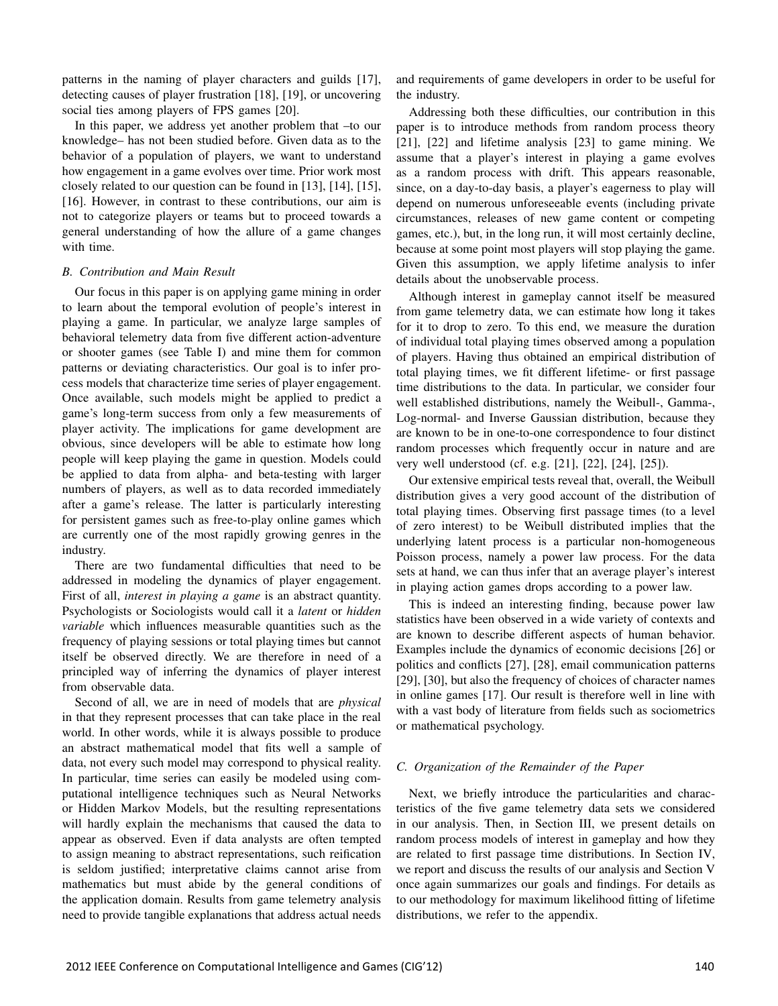patterns in the naming of player characters and guilds [17], detecting causes of player frustration [18], [19], or uncovering social ties among players of FPS games [20].

In this paper, we address yet another problem that –to our knowledge– has not been studied before. Given data as to the behavior of a population of players, we want to understand how engagement in a game evolves over time. Prior work most closely related to our question can be found in [13], [14], [15], [16]. However, in contrast to these contributions, our aim is not to categorize players or teams but to proceed towards a general understanding of how the allure of a game changes with time.

# *B. Contribution and Main Result*

Our focus in this paper is on applying game mining in order to learn about the temporal evolution of people's interest in playing a game. In particular, we analyze large samples of behavioral telemetry data from five different action-adventure or shooter games (see Table I) and mine them for common patterns or deviating characteristics. Our goal is to infer process models that characterize time series of player engagement. Once available, such models might be applied to predict a game's long-term success from only a few measurements of player activity. The implications for game development are obvious, since developers will be able to estimate how long people will keep playing the game in question. Models could be applied to data from alpha- and beta-testing with larger numbers of players, as well as to data recorded immediately after a game's release. The latter is particularly interesting for persistent games such as free-to-play online games which are currently one of the most rapidly growing genres in the industry.

There are two fundamental difficulties that need to be addressed in modeling the dynamics of player engagement. First of all, *interest in playing a game* is an abstract quantity. Psychologists or Sociologists would call it a *latent* or *hidden variable* which influences measurable quantities such as the frequency of playing sessions or total playing times but cannot itself be observed directly. We are therefore in need of a principled way of inferring the dynamics of player interest from observable data.

Second of all, we are in need of models that are *physical* in that they represent processes that can take place in the real world. In other words, while it is always possible to produce an abstract mathematical model that fits well a sample of data, not every such model may correspond to physical reality. In particular, time series can easily be modeled using computational intelligence techniques such as Neural Networks or Hidden Markov Models, but the resulting representations will hardly explain the mechanisms that caused the data to appear as observed. Even if data analysts are often tempted to assign meaning to abstract representations, such reification is seldom justified; interpretative claims cannot arise from mathematics but must abide by the general conditions of the application domain. Results from game telemetry analysis need to provide tangible explanations that address actual needs and requirements of game developers in order to be useful for the industry.

Addressing both these difficulties, our contribution in this paper is to introduce methods from random process theory [21], [22] and lifetime analysis [23] to game mining. We assume that a player's interest in playing a game evolves as a random process with drift. This appears reasonable, since, on a day-to-day basis, a player's eagerness to play will depend on numerous unforeseeable events (including private circumstances, releases of new game content or competing games, etc.), but, in the long run, it will most certainly decline, because at some point most players will stop playing the game. Given this assumption, we apply lifetime analysis to infer details about the unobservable process.

Although interest in gameplay cannot itself be measured from game telemetry data, we can estimate how long it takes for it to drop to zero. To this end, we measure the duration of individual total playing times observed among a population of players. Having thus obtained an empirical distribution of total playing times, we fit different lifetime- or first passage time distributions to the data. In particular, we consider four well established distributions, namely the Weibull-, Gamma-, Log-normal- and Inverse Gaussian distribution, because they are known to be in one-to-one correspondence to four distinct random processes which frequently occur in nature and are very well understood (cf. e.g. [21], [22], [24], [25]).

Our extensive empirical tests reveal that, overall, the Weibull distribution gives a very good account of the distribution of total playing times. Observing first passage times (to a level of zero interest) to be Weibull distributed implies that the underlying latent process is a particular non-homogeneous Poisson process, namely a power law process. For the data sets at hand, we can thus infer that an average player's interest in playing action games drops according to a power law.

This is indeed an interesting finding, because power law statistics have been observed in a wide variety of contexts and are known to describe different aspects of human behavior. Examples include the dynamics of economic decisions [26] or politics and conflicts [27], [28], email communication patterns [29], [30], but also the frequency of choices of character names in online games [17]. Our result is therefore well in line with with a vast body of literature from fields such as sociometrics or mathematical psychology.

# *C. Organization of the Remainder of the Paper*

Next, we briefly introduce the particularities and characteristics of the five game telemetry data sets we considered in our analysis. Then, in Section III, we present details on random process models of interest in gameplay and how they are related to first passage time distributions. In Section IV, we report and discuss the results of our analysis and Section V once again summarizes our goals and findings. For details as to our methodology for maximum likelihood fitting of lifetime distributions, we refer to the appendix.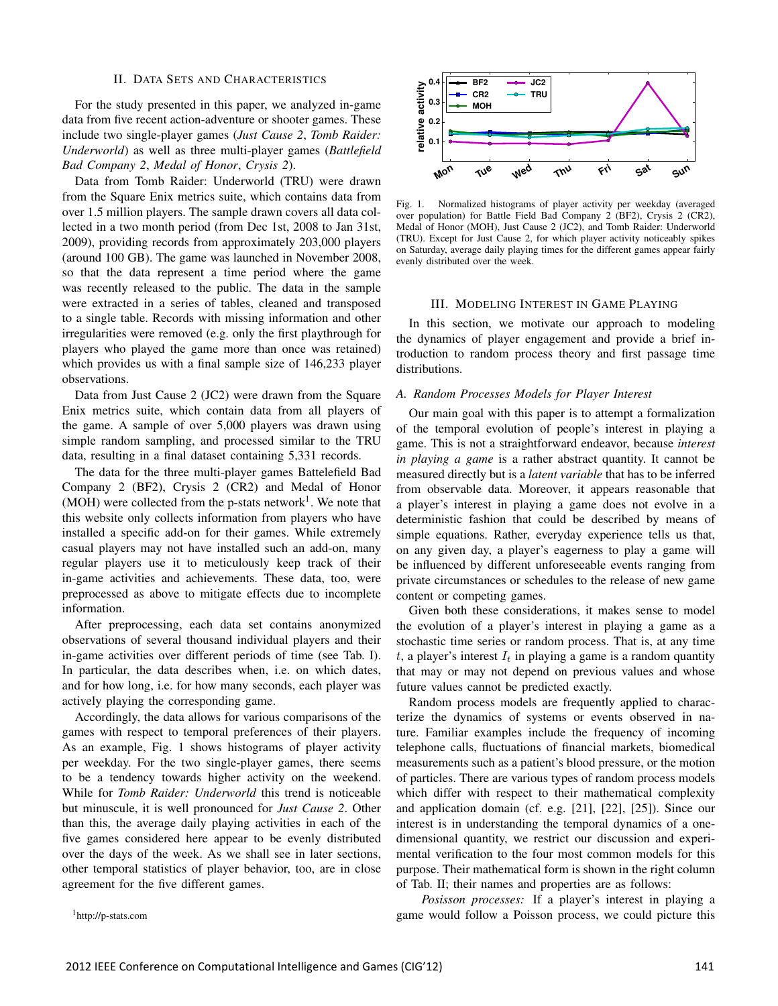### II. DATA SETS AND CHARACTERISTICS

For the study presented in this paper, we analyzed in-game data from five recent action-adventure or shooter games. These include two single-player games (*Just Cause 2*, *Tomb Raider: Underworld*) as well as three multi-player games (*Battlefield Bad Company 2*, *Medal of Honor*, *Crysis 2*).

Data from Tomb Raider: Underworld (TRU) were drawn from the Square Enix metrics suite, which contains data from over 1.5 million players. The sample drawn covers all data collected in a two month period (from Dec 1st, 2008 to Jan 31st, 2009), providing records from approximately 203,000 players (around 100 GB). The game was launched in November 2008, so that the data represent a time period where the game was recently released to the public. The data in the sample were extracted in a series of tables, cleaned and transposed to a single table. Records with missing information and other irregularities were removed (e.g. only the first playthrough for players who played the game more than once was retained) which provides us with a final sample size of 146,233 player observations.

Data from Just Cause 2 (JC2) were drawn from the Square Enix metrics suite, which contain data from all players of the game. A sample of over 5,000 players was drawn using simple random sampling, and processed similar to the TRU data, resulting in a final dataset containing 5,331 records.

The data for the three multi-player games Battelefield Bad Company 2 (BF2), Crysis 2 (CR2) and Medal of Honor  $(MOH)$  were collected from the p-stats network<sup>1</sup>. We note that this website only collects information from players who have installed a specific add-on for their games. While extremely casual players may not have installed such an add-on, many regular players use it to meticulously keep track of their in-game activities and achievements. These data, too, were preprocessed as above to mitigate effects due to incomplete information.

After preprocessing, each data set contains anonymized observations of several thousand individual players and their in-game activities over different periods of time (see Tab. I). In particular, the data describes when, i.e. on which dates, and for how long, i.e. for how many seconds, each player was actively playing the corresponding game.

Accordingly, the data allows for various comparisons of the games with respect to temporal preferences of their players. As an example, Fig. 1 shows histograms of player activity per weekday. For the two single-player games, there seems to be a tendency towards higher activity on the weekend. While for *Tomb Raider: Underworld* this trend is noticeable but minuscule, it is well pronounced for *Just Cause 2*. Other than this, the average daily playing activities in each of the five games considered here appear to be evenly distributed over the days of the week. As we shall see in later sections, other temporal statistics of player behavior, too, are in close agreement for the five different games.



Fig. 1. Normalized histograms of player activity per weekday (averaged over population) for Battle Field Bad Company 2 (BF2), Crysis 2 (CR2), Medal of Honor (MOH), Just Cause 2 (JC2), and Tomb Raider: Underworld (TRU). Except for Just Cause 2, for which player activity noticeably spikes on Saturday, average daily playing times for the different games appear fairly evenly distributed over the week.

#### III. MODELING INTEREST IN GAME PLAYING

In this section, we motivate our approach to modeling the dynamics of player engagement and provide a brief introduction to random process theory and first passage time distributions.

### *A. Random Processes Models for Player Interest*

Our main goal with this paper is to attempt a formalization of the temporal evolution of people's interest in playing a game. This is not a straightforward endeavor, because *interest in playing a game* is a rather abstract quantity. It cannot be measured directly but is a *latent variable* that has to be inferred from observable data. Moreover, it appears reasonable that a player's interest in playing a game does not evolve in a deterministic fashion that could be described by means of simple equations. Rather, everyday experience tells us that, on any given day, a player's eagerness to play a game will be influenced by different unforeseeable events ranging from private circumstances or schedules to the release of new game content or competing games.

Given both these considerations, it makes sense to model the evolution of a player's interest in playing a game as a stochastic time series or random process. That is, at any time t, a player's interest  $I_t$  in playing a game is a random quantity that may or may not depend on previous values and whose future values cannot be predicted exactly.

Random process models are frequently applied to characterize the dynamics of systems or events observed in nature. Familiar examples include the frequency of incoming telephone calls, fluctuations of financial markets, biomedical measurements such as a patient's blood pressure, or the motion of particles. There are various types of random process models which differ with respect to their mathematical complexity and application domain (cf. e.g. [21], [22], [25]). Since our interest is in understanding the temporal dynamics of a onedimensional quantity, we restrict our discussion and experimental verification to the four most common models for this purpose. Their mathematical form is shown in the right column of Tab. II; their names and properties are as follows:

*Posisson processes:* If a player's interest in playing a game would follow a Poisson process, we could picture this

<sup>1</sup>http://p-stats.com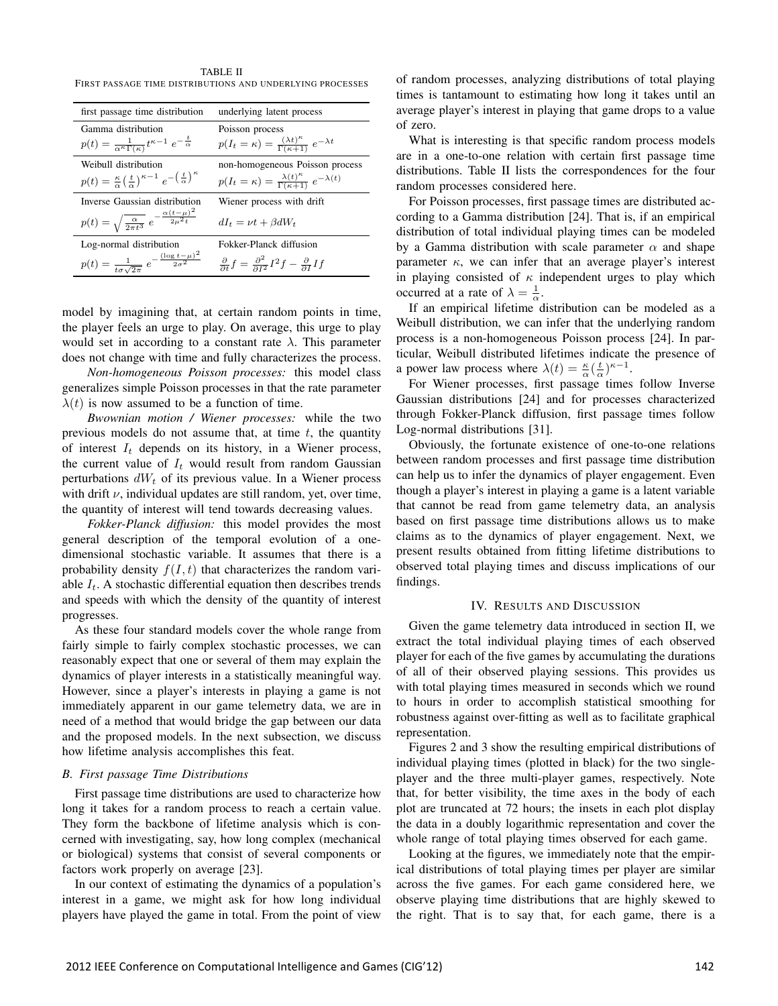TABLE II FIRST PASSAGE TIME DISTRIBUTIONS AND UNDERLYING PROCESSES

| first passage time distribution                                                                                     | underlying latent process                                                                             |
|---------------------------------------------------------------------------------------------------------------------|-------------------------------------------------------------------------------------------------------|
| Gamma distribution<br>$p(t) = \frac{1}{\alpha^{\kappa} \Gamma(\kappa)} t^{\kappa - 1} e^{-\frac{t}{\alpha}}$        | Poisson process<br>$p(I_t = \kappa) = \frac{(\lambda t)^{\kappa}}{\Gamma(\kappa + 1)} e^{-\lambda t}$ |
| Weibull distribution                                                                                                | non-homogeneous Poisson process                                                                       |
| $p(t) = \frac{\kappa}{\alpha} \left(\frac{t}{\alpha}\right)^{\kappa-1} e^{-\left(\frac{t}{\alpha}\right)^{\kappa}}$ | $p(I_t = \kappa) = \frac{\lambda(t)^{\kappa}}{\Gamma(\kappa+1)} e^{-\lambda(t)}$                      |
| Inverse Gaussian distribution                                                                                       | Wiener process with drift                                                                             |
| $p(t) = \sqrt{\frac{\alpha}{2\pi t^3}} e^{-\frac{\alpha (t-\mu)^2}{2\mu^2 t}}$                                      | $dI_t = \nu t + \beta dW_t$                                                                           |
| Log-normal distribution                                                                                             | Fokker-Planck diffusion                                                                               |
| $p(t) = \frac{1}{t^{\sigma \sqrt{2\pi}}} e^{-\frac{(\log t - \mu)^2}{2\sigma^2}}$                                   | $\frac{\partial}{\partial t}f = \frac{\partial^2}{\partial t^2}I^2f - \frac{\partial}{\partial t}If$  |

model by imagining that, at certain random points in time, the player feels an urge to play. On average, this urge to play would set in according to a constant rate  $\lambda$ . This parameter does not change with time and fully characterizes the process.

*Non-homogeneous Poisson processes:* this model class generalizes simple Poisson processes in that the rate parameter  $\lambda(t)$  is now assumed to be a function of time.

*Bwownian motion / Wiener processes:* while the two previous models do not assume that, at time  $t$ , the quantity of interest  $I_t$  depends on its history, in a Wiener process, the current value of  $I_t$  would result from random Gaussian perturbations  $dW_t$  of its previous value. In a Wiener process with drift  $\nu$ , individual updates are still random, yet, over time, the quantity of interest will tend towards decreasing values.

*Fokker-Planck diffusion:* this model provides the most general description of the temporal evolution of a onedimensional stochastic variable. It assumes that there is a probability density  $f(I, t)$  that characterizes the random variable  $I_t$ . A stochastic differential equation then describes trends and speeds with which the density of the quantity of interest progresses.

As these four standard models cover the whole range from fairly simple to fairly complex stochastic processes, we can reasonably expect that one or several of them may explain the dynamics of player interests in a statistically meaningful way. However, since a player's interests in playing a game is not immediately apparent in our game telemetry data, we are in need of a method that would bridge the gap between our data and the proposed models. In the next subsection, we discuss how lifetime analysis accomplishes this feat.

# *B. First passage Time Distributions*

First passage time distributions are used to characterize how long it takes for a random process to reach a certain value. They form the backbone of lifetime analysis which is concerned with investigating, say, how long complex (mechanical or biological) systems that consist of several components or factors work properly on average [23].

In our context of estimating the dynamics of a population's interest in a game, we might ask for how long individual players have played the game in total. From the point of view

of random processes, analyzing distributions of total playing times is tantamount to estimating how long it takes until an average player's interest in playing that game drops to a value of zero.

What is interesting is that specific random process models are in a one-to-one relation with certain first passage time distributions. Table II lists the correspondences for the four random processes considered here.

For Poisson processes, first passage times are distributed according to a Gamma distribution [24]. That is, if an empirical distribution of total individual playing times can be modeled by a Gamma distribution with scale parameter  $\alpha$  and shape parameter  $\kappa$ , we can infer that an average player's interest in playing consisted of  $\kappa$  independent urges to play which occurred at a rate of  $\lambda = \frac{1}{\alpha}$ .

If an empirical lifetime distribution can be modeled as a Weibull distribution, we can infer that the underlying random process is a non-homogeneous Poisson process [24]. In particular, Weibull distributed lifetimes indicate the presence of a power law process where  $\lambda(t) = \frac{\kappa}{\alpha} \left(\frac{t}{\alpha}\right)^{\kappa - 1}$ .

For Wiener processes, first passage times follow Inverse Gaussian distributions [24] and for processes characterized through Fokker-Planck diffusion, first passage times follow Log-normal distributions [31].

Obviously, the fortunate existence of one-to-one relations between random processes and first passage time distribution can help us to infer the dynamics of player engagement. Even though a player's interest in playing a game is a latent variable that cannot be read from game telemetry data, an analysis based on first passage time distributions allows us to make claims as to the dynamics of player engagement. Next, we present results obtained from fitting lifetime distributions to observed total playing times and discuss implications of our findings.

# IV. RESULTS AND DISCUSSION

Given the game telemetry data introduced in section II, we extract the total individual playing times of each observed player for each of the five games by accumulating the durations of all of their observed playing sessions. This provides us with total playing times measured in seconds which we round to hours in order to accomplish statistical smoothing for robustness against over-fitting as well as to facilitate graphical representation.

Figures 2 and 3 show the resulting empirical distributions of individual playing times (plotted in black) for the two singleplayer and the three multi-player games, respectively. Note that, for better visibility, the time axes in the body of each plot are truncated at 72 hours; the insets in each plot display the data in a doubly logarithmic representation and cover the whole range of total playing times observed for each game.

Looking at the figures, we immediately note that the empirical distributions of total playing times per player are similar across the five games. For each game considered here, we observe playing time distributions that are highly skewed to the right. That is to say that, for each game, there is a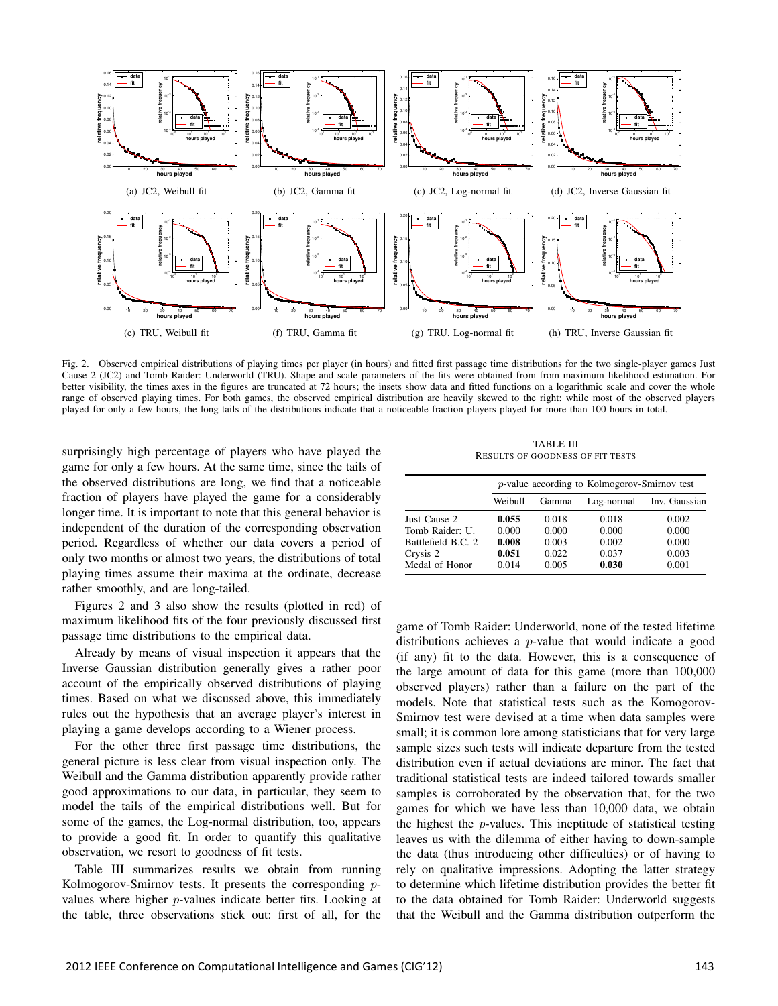

Fig. 2. Observed empirical distributions of playing times per player (in hours) and fitted first passage time distributions for the two single-player games Just Cause 2 (JC2) and Tomb Raider: Underworld (TRU). Shape and scale parameters of the fits were obtained from from maximum likelihood estimation. For better visibility, the times axes in the figures are truncated at 72 hours; the insets show data and fitted functions on a logarithmic scale and cover the whole range of observed playing times. For both games, the observed empirical distribution are heavily skewed to the right: while most of the observed players played for only a few hours, the long tails of the distributions indicate that a noticeable fraction players played for more than 100 hours in total.

surprisingly high percentage of players who have played the game for only a few hours. At the same time, since the tails of the observed distributions are long, we find that a noticeable fraction of players have played the game for a considerably longer time. It is important to note that this general behavior is independent of the duration of the corresponding observation period. Regardless of whether our data covers a period of only two months or almost two years, the distributions of total playing times assume their maxima at the ordinate, decrease rather smoothly, and are long-tailed.

Figures 2 and 3 also show the results (plotted in red) of maximum likelihood fits of the four previously discussed first passage time distributions to the empirical data.

Already by means of visual inspection it appears that the Inverse Gaussian distribution generally gives a rather poor account of the empirically observed distributions of playing times. Based on what we discussed above, this immediately rules out the hypothesis that an average player's interest in playing a game develops according to a Wiener process.

For the other three first passage time distributions, the general picture is less clear from visual inspection only. The Weibull and the Gamma distribution apparently provide rather good approximations to our data, in particular, they seem to model the tails of the empirical distributions well. But for some of the games, the Log-normal distribution, too, appears to provide a good fit. In order to quantify this qualitative observation, we resort to goodness of fit tests.

Table III summarizes results we obtain from running Kolmogorov-Smirnov tests. It presents the corresponding pvalues where higher p-values indicate better fits. Looking at the table, three observations stick out: first of all, for the

TABLE III RESULTS OF GOODNESS OF FIT TESTS

|                    | <i>p</i> -value according to Kolmogorov-Smirnov test |       |            |               |
|--------------------|------------------------------------------------------|-------|------------|---------------|
|                    | Weibull                                              | Gamma | Log-normal | Inv. Gaussian |
| Just Cause 2       | 0.055                                                | 0.018 | 0.018      | 0.002         |
| Tomb Raider: U.    | 0.000                                                | 0.000 | 0.000      | 0.000         |
| Battlefield B.C. 2 | 0.008                                                | 0.003 | 0.002      | 0.000         |
| Crysis 2           | 0.051                                                | 0.022 | 0.037      | 0.003         |
| Medal of Honor     | 0.014                                                | 0.005 | 0.030      | 0.001         |

game of Tomb Raider: Underworld, none of the tested lifetime distributions achieves a p-value that would indicate a good (if any) fit to the data. However, this is a consequence of the large amount of data for this game (more than 100,000 observed players) rather than a failure on the part of the models. Note that statistical tests such as the Komogorov-Smirnov test were devised at a time when data samples were small; it is common lore among statisticians that for very large sample sizes such tests will indicate departure from the tested distribution even if actual deviations are minor. The fact that traditional statistical tests are indeed tailored towards smaller samples is corroborated by the observation that, for the two games for which we have less than 10,000 data, we obtain the highest the p-values. This ineptitude of statistical testing leaves us with the dilemma of either having to down-sample the data (thus introducing other difficulties) or of having to rely on qualitative impressions. Adopting the latter strategy to determine which lifetime distribution provides the better fit to the data obtained for Tomb Raider: Underworld suggests that the Weibull and the Gamma distribution outperform the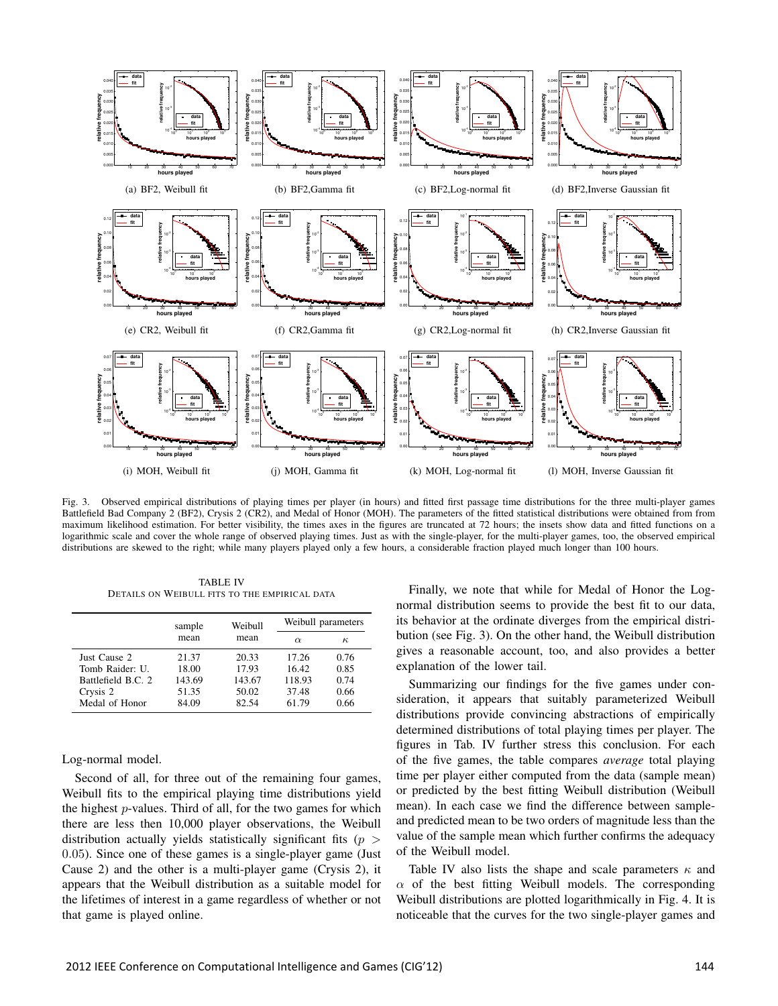

Fig. 3. Observed empirical distributions of playing times per player (in hours) and fitted first passage time distributions for the three multi-player games Battlefield Bad Company 2 (BF2), Crysis 2 (CR2), and Medal of Honor (MOH). The parameters of the fitted statistical distributions were obtained from from maximum likelihood estimation. For better visibility, the times axes in the figures are truncated at 72 hours; the insets show data and fitted functions on a logarithmic scale and cover the whole range of observed playing times. Just as with the single-player, for the multi-player games, too, the observed empirical distributions are skewed to the right; while many players played only a few hours, a considerable fraction played much longer than 100 hours.

TABLE IV DETAILS ON WEIBULL FITS TO THE EMPIRICAL DATA

|                    | sample<br>mean | Weibull | Weibull parameters |      |
|--------------------|----------------|---------|--------------------|------|
|                    |                | mean    | $\alpha$           | к.   |
| Just Cause 2       | 21.37          | 20.33   | 17.26              | 0.76 |
| Tomb Raider: U.    | 18.00          | 17.93   | 16.42              | 0.85 |
| Battlefield B.C. 2 | 143.69         | 143.67  | 118.93             | 0.74 |
| Crysis 2           | 51.35          | 50.02   | 37.48              | 0.66 |
| Medal of Honor     | 84.09          | 82.54   | 61.79              | 0.66 |

Log-normal model.

Second of all, for three out of the remaining four games, Weibull fits to the empirical playing time distributions yield the highest  $p$ -values. Third of all, for the two games for which there are less then 10,000 player observations, the Weibull distribution actually yields statistically significant fits  $(p >$ 0.05). Since one of these games is a single-player game (Just Cause 2) and the other is a multi-player game (Crysis 2), it appears that the Weibull distribution as a suitable model for the lifetimes of interest in a game regardless of whether or not that game is played online.

Finally, we note that while for Medal of Honor the Lognormal distribution seems to provide the best fit to our data, its behavior at the ordinate diverges from the empirical distribution (see Fig. 3). On the other hand, the Weibull distribution gives a reasonable account, too, and also provides a better explanation of the lower tail.

Summarizing our findings for the five games under consideration, it appears that suitably parameterized Weibull distributions provide convincing abstractions of empirically determined distributions of total playing times per player. The figures in Tab. IV further stress this conclusion. For each of the five games, the table compares *average* total playing time per player either computed from the data (sample mean) or predicted by the best fitting Weibull distribution (Weibull mean). In each case we find the difference between sampleand predicted mean to be two orders of magnitude less than the value of the sample mean which further confirms the adequacy of the Weibull model.

Table IV also lists the shape and scale parameters  $\kappa$  and  $\alpha$  of the best fitting Weibull models. The corresponding Weibull distributions are plotted logarithmically in Fig. 4. It is noticeable that the curves for the two single-player games and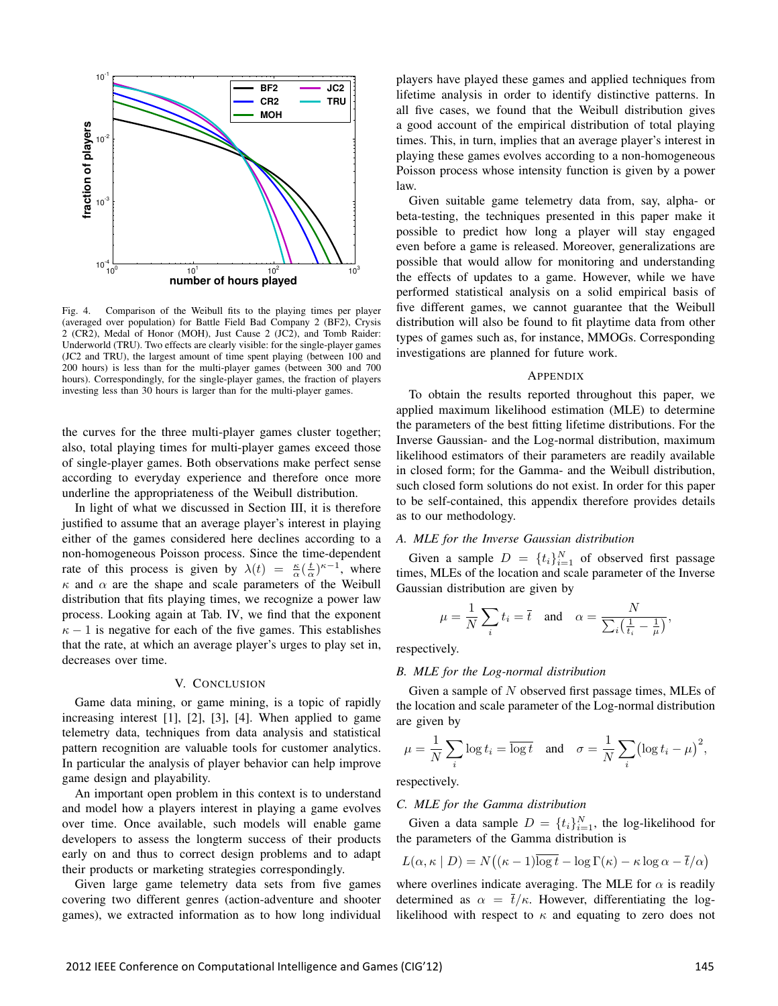

Fig. 4. Comparison of the Weibull fits to the playing times per player (averaged over population) for Battle Field Bad Company 2 (BF2), Crysis 2 (CR2), Medal of Honor (MOH), Just Cause 2 (JC2), and Tomb Raider: Underworld (TRU). Two effects are clearly visible: for the single-player games (JC2 and TRU), the largest amount of time spent playing (between 100 and 200 hours) is less than for the multi-player games (between 300 and 700 hours). Correspondingly, for the single-player games, the fraction of players investing less than 30 hours is larger than for the multi-player games.

the curves for the three multi-player games cluster together; also, total playing times for multi-player games exceed those of single-player games. Both observations make perfect sense according to everyday experience and therefore once more underline the appropriateness of the Weibull distribution.

In light of what we discussed in Section III, it is therefore justified to assume that an average player's interest in playing either of the games considered here declines according to a non-homogeneous Poisson process. Since the time-dependent rate of this process is given by  $\lambda(t) = \frac{\kappa}{\alpha} \left(\frac{t}{\alpha}\right)^{\kappa-1}$ , where  $\kappa$  and  $\alpha$  are the shape and scale parameters of the Weibull distribution that fits playing times, we recognize a power law process. Looking again at Tab. IV, we find that the exponent  $\kappa - 1$  is negative for each of the five games. This establishes that the rate, at which an average player's urges to play set in, decreases over time.

## V. CONCLUSION

Game data mining, or game mining, is a topic of rapidly increasing interest [1], [2], [3], [4]. When applied to game telemetry data, techniques from data analysis and statistical pattern recognition are valuable tools for customer analytics. In particular the analysis of player behavior can help improve game design and playability.

An important open problem in this context is to understand and model how a players interest in playing a game evolves over time. Once available, such models will enable game developers to assess the longterm success of their products early on and thus to correct design problems and to adapt their products or marketing strategies correspondingly.

Given large game telemetry data sets from five games covering two different genres (action-adventure and shooter games), we extracted information as to how long individual

players have played these games and applied techniques from lifetime analysis in order to identify distinctive patterns. In all five cases, we found that the Weibull distribution gives a good account of the empirical distribution of total playing times. This, in turn, implies that an average player's interest in playing these games evolves according to a non-homogeneous Poisson process whose intensity function is given by a power law.

Given suitable game telemetry data from, say, alpha- or beta-testing, the techniques presented in this paper make it possible to predict how long a player will stay engaged even before a game is released. Moreover, generalizations are possible that would allow for monitoring and understanding the effects of updates to a game. However, while we have performed statistical analysis on a solid empirical basis of five different games, we cannot guarantee that the Weibull distribution will also be found to fit playtime data from other types of games such as, for instance, MMOGs. Corresponding investigations are planned for future work.

# **APPENDIX**

To obtain the results reported throughout this paper, we applied maximum likelihood estimation (MLE) to determine the parameters of the best fitting lifetime distributions. For the Inverse Gaussian- and the Log-normal distribution, maximum likelihood estimators of their parameters are readily available in closed form; for the Gamma- and the Weibull distribution, such closed form solutions do not exist. In order for this paper to be self-contained, this appendix therefore provides details as to our methodology.

# *A. MLE for the Inverse Gaussian distribution*

Given a sample  $D = \{t_i\}_{i=1}^N$  of observed first passage times, MLEs of the location and scale parameter of the Inverse Gaussian distribution are given by

$$
\mu = \frac{1}{N} \sum_{i} t_i = \overline{t} \quad \text{and} \quad \alpha = \frac{N}{\sum_{i} \left( \frac{1}{t_i} - \frac{1}{\mu} \right)},
$$

respectively.

#### *B. MLE for the Log-normal distribution*

Given a sample of  $N$  observed first passage times, MLEs of the location and scale parameter of the Log-normal distribution are given by

$$
\mu = \frac{1}{N} \sum_{i} \log t_i = \overline{\log t} \quad \text{and} \quad \sigma = \frac{1}{N} \sum_{i} (\log t_i - \mu)^2,
$$

respectively.

### *C. MLE for the Gamma distribution*

Given a data sample  $D = \{t_i\}_{i=1}^N$ , the log-likelihood for the parameters of the Gamma distribution is

$$
L(\alpha, \kappa \mid D) = N((\kappa - 1)\overline{\log t} - \log \Gamma(\kappa) - \kappa \log \alpha - \overline{t}/\alpha)
$$

where overlines indicate averaging. The MLE for  $\alpha$  is readily determined as  $\alpha = \bar{t}/\kappa$ . However, differentiating the loglikelihood with respect to  $\kappa$  and equating to zero does not